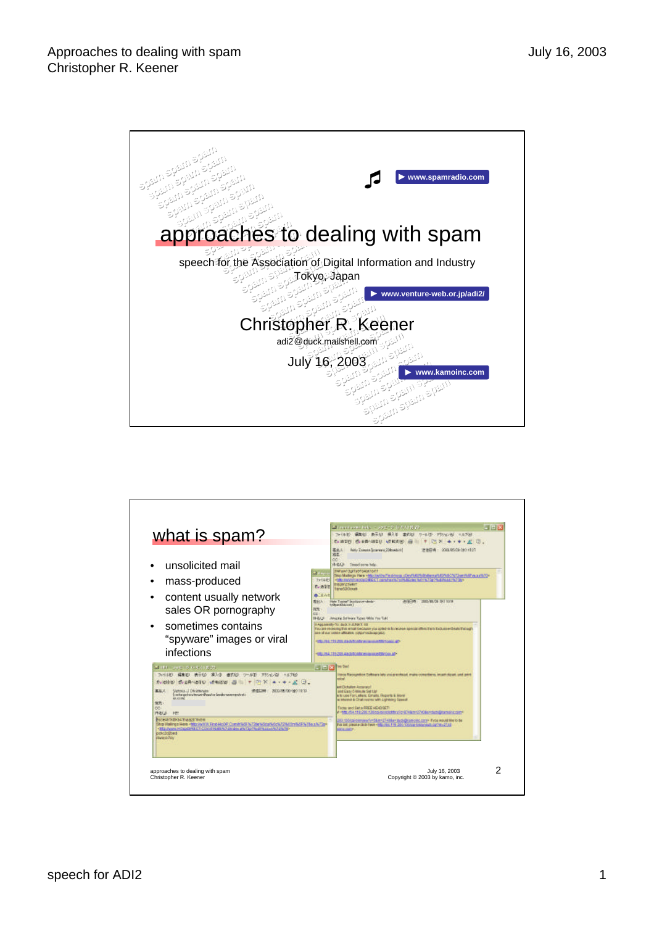

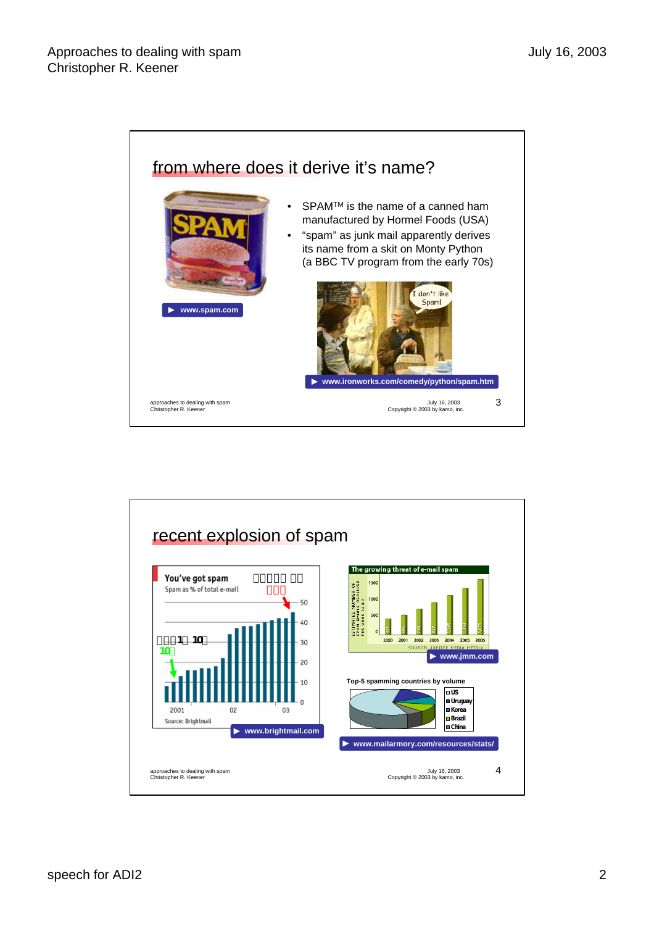

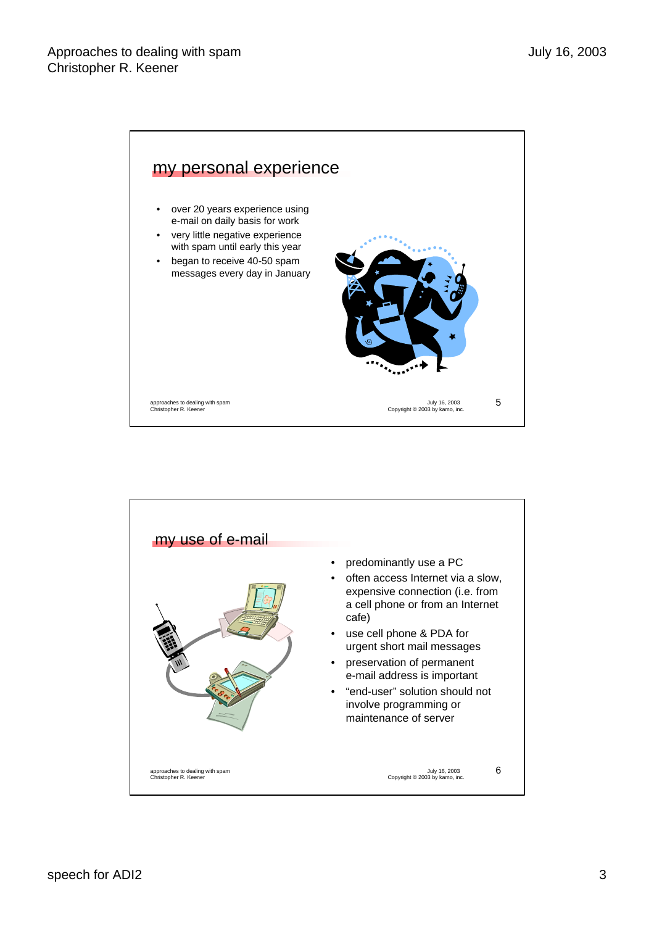

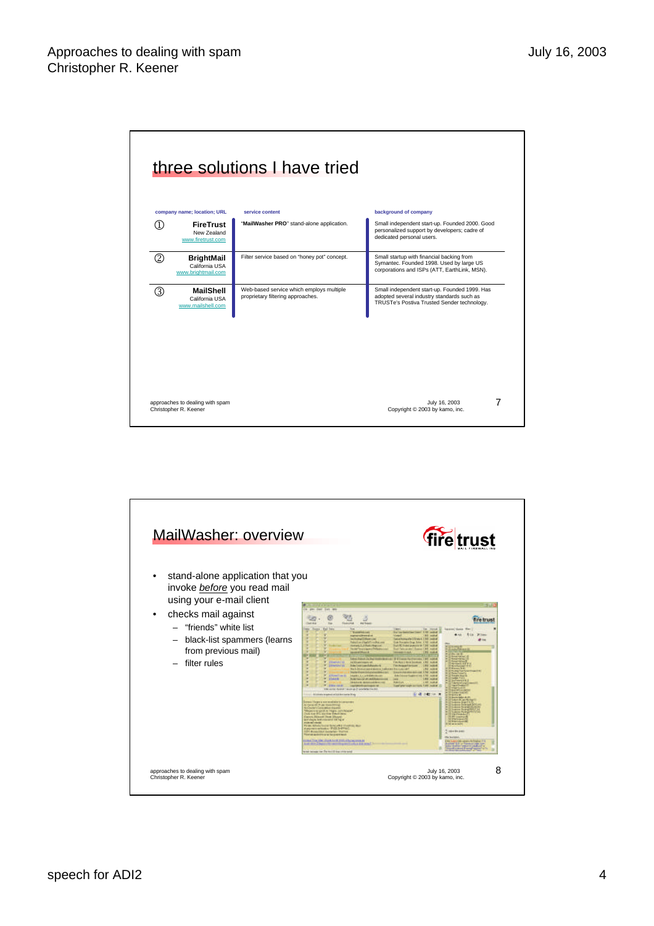|   | company name; location; URL                               | service content                                                               | background of company                                                                                                                      |
|---|-----------------------------------------------------------|-------------------------------------------------------------------------------|--------------------------------------------------------------------------------------------------------------------------------------------|
| D | <b>FireTrust</b><br>New Zealand<br>www.firetrust.com      | "MailWasher PRO" stand-alone application.                                     | Small independent start-up. Founded 2000. Good<br>personalized support by developers; cadre of<br>dedicated personal users.                |
| ② | <b>BrightMail</b><br>California USA<br>www.brightmail.com | Filter service based on "honey pot" concept.                                  | Small startup with financial backing from<br>Symantec. Founded 1998. Used by large US<br>corporations and ISPs (ATT, EarthLink, MSN).      |
| 3 | <b>MailShell</b><br>California USA<br>www.mailshell.com   | Web-based service which employs multiple<br>proprietary filtering approaches. | Small independent start-up. Founded 1999. Has<br>adopted several industry standards such as<br>TRUSTe's Postiva Trusted Sender technology. |
|   |                                                           |                                                                               |                                                                                                                                            |
|   |                                                           |                                                                               |                                                                                                                                            |

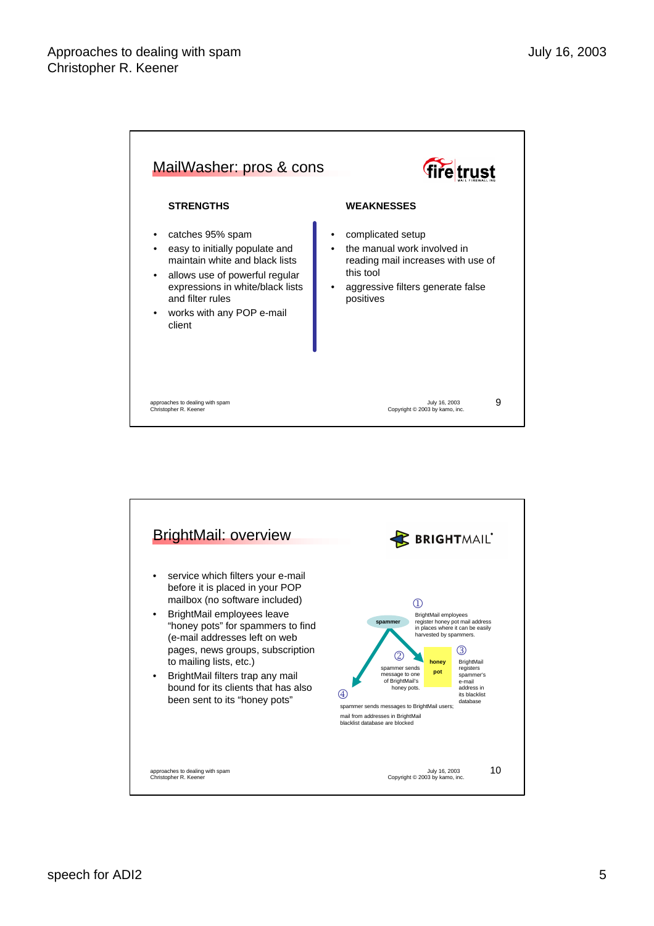

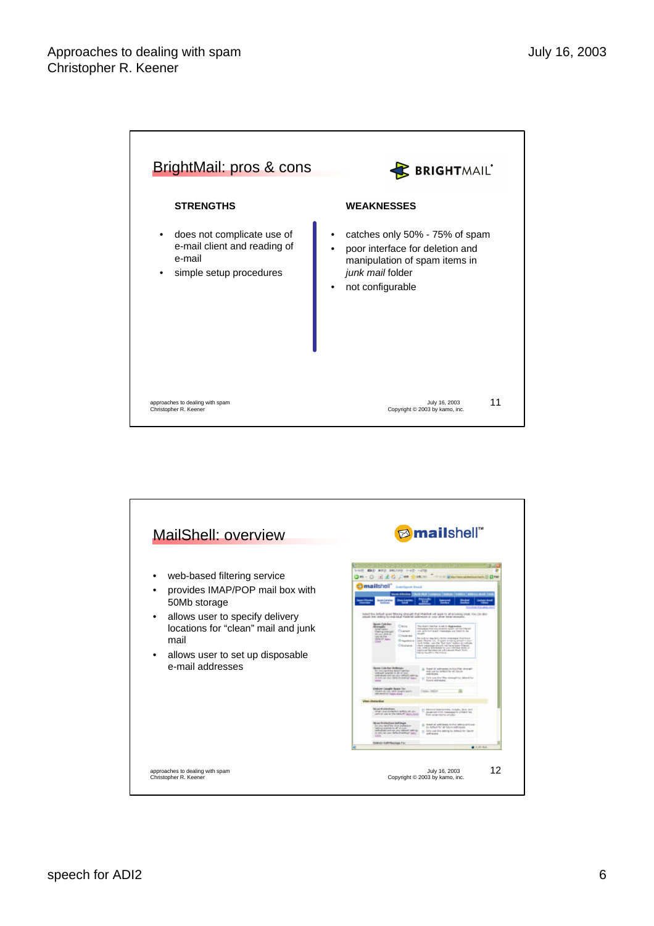

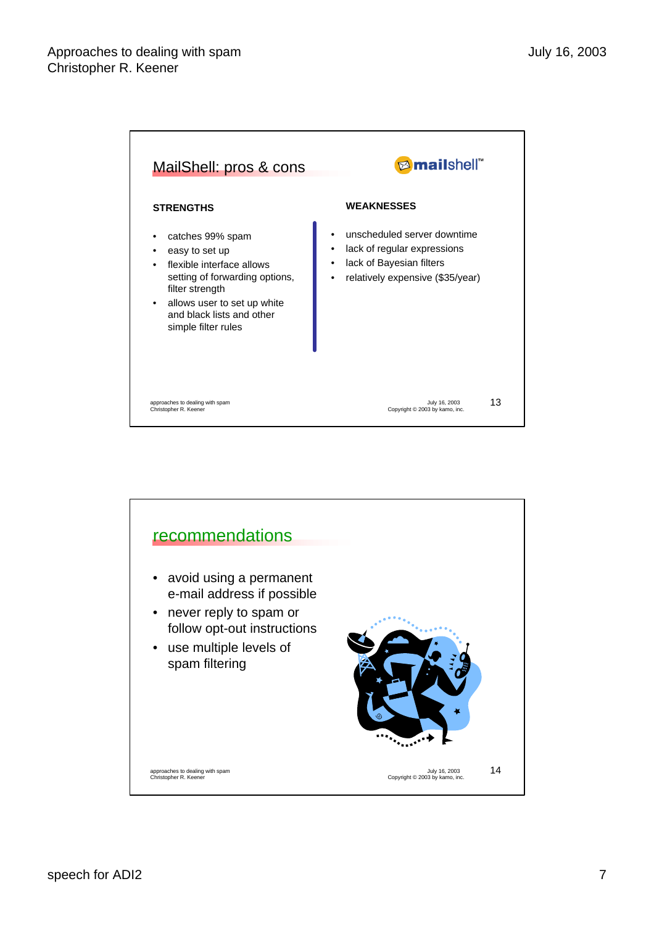